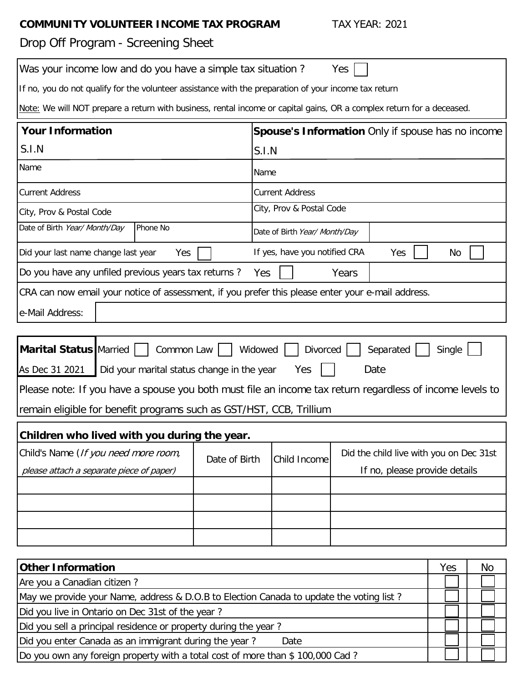## **COMMUNITY VOLUNTEER INCOME TAX PROGRAM**

TAX YEAR: 2021

## Drop Off Program - Screening Sheet

| 5.00111                                                                                                               |                                                   |                               |              |                                         |           |        |    |  |  |  |
|-----------------------------------------------------------------------------------------------------------------------|---------------------------------------------------|-------------------------------|--------------|-----------------------------------------|-----------|--------|----|--|--|--|
| Was your income low and do you have a simple tax situation?                                                           |                                                   |                               |              | Yes                                     |           |        |    |  |  |  |
| If no, you do not qualify for the volunteer assistance with the preparation of your income tax return                 |                                                   |                               |              |                                         |           |        |    |  |  |  |
| Note: We will NOT prepare a return with business, rental income or capital gains, OR a complex return for a deceased. |                                                   |                               |              |                                         |           |        |    |  |  |  |
| <b>Your Information</b>                                                                                               | Spouse's Information Only if spouse has no income |                               |              |                                         |           |        |    |  |  |  |
| S.I.N                                                                                                                 | S.I.N                                             |                               |              |                                         |           |        |    |  |  |  |
| Name                                                                                                                  | Name                                              |                               |              |                                         |           |        |    |  |  |  |
| <b>Current Address</b>                                                                                                | <b>Current Address</b>                            |                               |              |                                         |           |        |    |  |  |  |
| City, Prov & Postal Code                                                                                              |                                                   | City, Prov & Postal Code      |              |                                         |           |        |    |  |  |  |
| Date of Birth Year/ Month/Day<br>Phone No                                                                             |                                                   | Date of Birth Year/ Month/Day |              |                                         |           |        |    |  |  |  |
| Did your last name change last year<br>Yes                                                                            | If yes, have you notified CRA<br>Yes<br>No        |                               |              |                                         |           |        |    |  |  |  |
| Do you have any unfiled previous years tax returns?                                                                   |                                                   | Yes                           |              | Years                                   |           |        |    |  |  |  |
| CRA can now email your notice of assessment, if you prefer this please enter your e-mail address.                     |                                                   |                               |              |                                         |           |        |    |  |  |  |
| e-Mail Address:                                                                                                       |                                                   |                               |              |                                         |           |        |    |  |  |  |
|                                                                                                                       |                                                   |                               |              |                                         |           |        |    |  |  |  |
| <b>Marital Status Married</b><br>Common Law                                                                           |                                                   | Widowed                       | Divorced     |                                         | Separated | Single |    |  |  |  |
| As Dec 31 2021<br>Did your marital status change in the year                                                          |                                                   |                               | Yes          |                                         | Date      |        |    |  |  |  |
| Please note: If you have a spouse you both must file an income tax return regardless of income levels to              |                                                   |                               |              |                                         |           |        |    |  |  |  |
| remain eligible for benefit programs such as GST/HST, CCB, Trillium                                                   |                                                   |                               |              |                                         |           |        |    |  |  |  |
| Children who lived with you during the year.                                                                          |                                                   |                               |              |                                         |           |        |    |  |  |  |
| Child's Name (If you need more room,                                                                                  | Date of Birth                                     |                               | Child Income | Did the child live with you on Dec 31st |           |        |    |  |  |  |
| please attach a separate piece of paper)                                                                              |                                                   |                               |              | If no, please provide details           |           |        |    |  |  |  |
|                                                                                                                       |                                                   |                               |              |                                         |           |        |    |  |  |  |
|                                                                                                                       |                                                   |                               |              |                                         |           |        |    |  |  |  |
|                                                                                                                       |                                                   |                               |              |                                         |           |        |    |  |  |  |
|                                                                                                                       |                                                   |                               |              |                                         |           |        |    |  |  |  |
| <b>Other Information</b>                                                                                              |                                                   |                               |              |                                         |           | Yes    | No |  |  |  |
| Are you a Canadian citizen?                                                                                           |                                                   |                               |              |                                         |           |        |    |  |  |  |
| May we provide your Name, address & D.O.B to Election Canada to update the voting list?                               |                                                   |                               |              |                                         |           |        |    |  |  |  |

Did you live in Ontario on Dec 31st of the year ?

Did you sell a principal residence or property during the year?

Did you enter Canada as an immigrant during the year? Date

Do you own any foreign property with a total cost of more than \$ 100,000 Cad ?